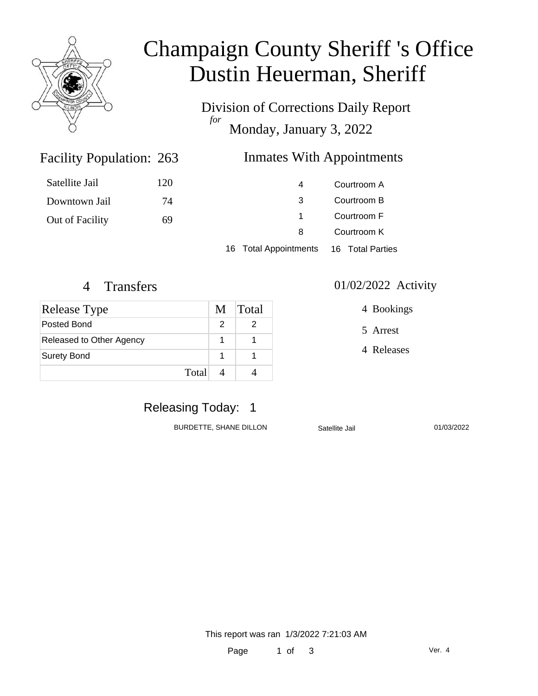

# Champaign County Sheriff 's Office Dustin Heuerman, Sheriff

Division of Corrections Daily Report *for* Monday, January 3, 2022

### Inmates With Appointments

| Satellite Jail  | 120 | 4                     | Courtroom A      |
|-----------------|-----|-----------------------|------------------|
| Downtown Jail   | 74  | -3                    | Courtroom B      |
| Out of Facility | 69  |                       | Courtroom F      |
|                 |     | 8                     | Courtroom K      |
|                 |     | 16 Total Appointments | 16 Total Parties |

Facility Population: 263

| <b>Release Type</b>      | M | Total |
|--------------------------|---|-------|
| Posted Bond              |   |       |
| Released to Other Agency |   |       |
| Surety Bond              |   |       |
| Total                    |   |       |

#### 4 Transfers 01/02/2022 Activity

4 Bookings

5 Arrest

4 Releases

## Releasing Today: 1

BURDETTE, SHANE DILLON Satellite Jail 01/03/2022

This report was ran 1/3/2022 7:21:03 AM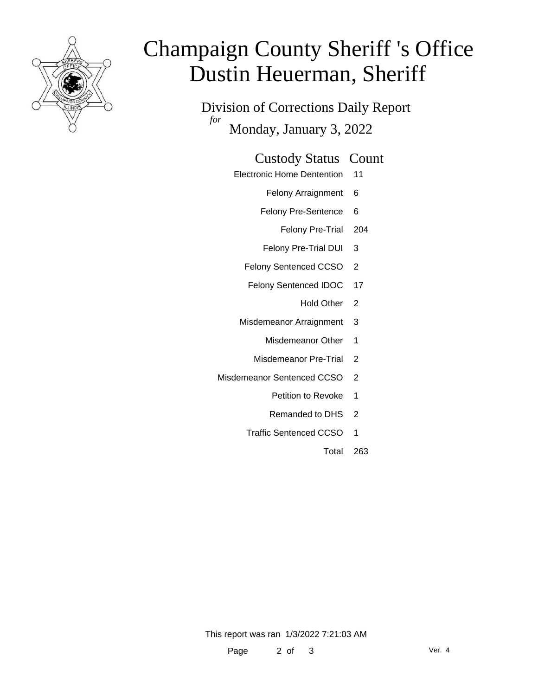

# Champaign County Sheriff 's Office Dustin Heuerman, Sheriff

Division of Corrections Daily Report *for* Monday, January 3, 2022

#### Custody Status Count

- Electronic Home Dentention 11
	- Felony Arraignment 6
	- Felony Pre-Sentence 6
		- Felony Pre-Trial 204
	- Felony Pre-Trial DUI 3
	- Felony Sentenced CCSO 2
	- Felony Sentenced IDOC 17
		- Hold Other 2
	- Misdemeanor Arraignment 3
		- Misdemeanor Other 1
		- Misdemeanor Pre-Trial 2
- Misdemeanor Sentenced CCSO 2
	- Petition to Revoke 1
	- Remanded to DHS 2
	- Traffic Sentenced CCSO 1
		- Total 263

This report was ran 1/3/2022 7:21:03 AM